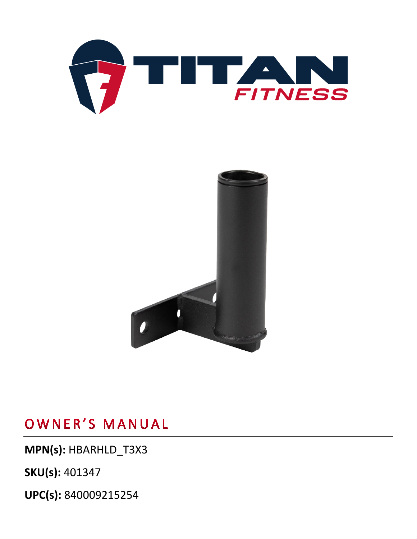



**MPN(s):** HBARHLD\_T3X3

**SKU(s):** 401347

**UPC(s):** 840009215254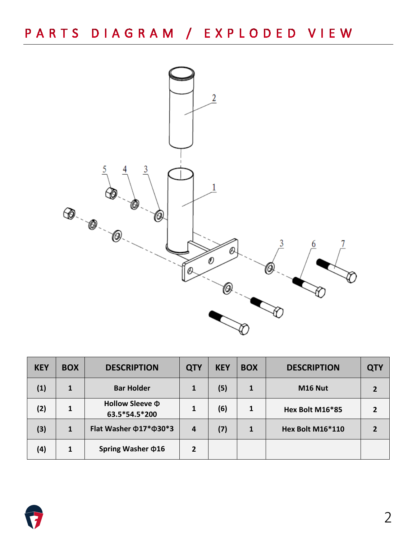

| <b>KEY</b> | <b>BOX</b>   | <b>DESCRIPTION</b>                    | <b>QTY</b>     | <b>KEY</b> | <b>BOX</b> | <b>DESCRIPTION</b> | <b>QTY</b> |
|------------|--------------|---------------------------------------|----------------|------------|------------|--------------------|------------|
| (1)        | $\mathbf{1}$ | <b>Bar Holder</b>                     | 1              | (5)        | 1          | M16 Nut            |            |
| (2)        | 1            | Hollow Sleeve $\Phi$<br>63.5*54.5*200 | 1              | (6)        | 1          | Hex Bolt M16*85    |            |
| (3)        | $\mathbf{1}$ | Flat Washer $\Phi$ 17* $\Phi$ 30*3    | 4              | (7)        | 1          | Hex Bolt M16*110   |            |
| (4)        | 1            | Spring Washer $\Phi$ 16               | $\overline{2}$ |            |            |                    |            |